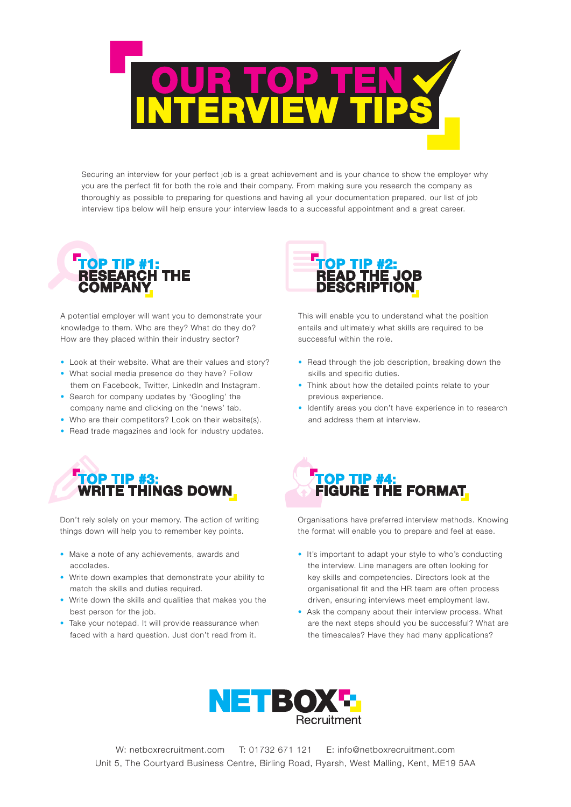

Securing an interview for your perfect job is a great achievement and is your chance to show the employer why you are the perfect fit for both the role and their company. From making sure you research the company as thoroughly as possible to preparing for questions and having all your documentation prepared, our list of job interview tips below will help ensure your interview leads to a successful appointment and a great career.



A potential employer will want you to demonstrate your knowledge to them. Who are they? What do they do? How are they placed within their industry sector?

- Look at their website. What are their values and story?
- What social media presence do they have? Follow them on Facebook, Twitter, LinkedIn and Instagram.
- Search for company updates by 'Googling' the company name and clicking on the 'news' tab.
- Who are their competitors? Look on their website(s).
- Read trade magazines and look for industry updates.



Don't rely solely on your memory. The action of writing things down will help you to remember key points.

- Make a note of any achievements, awards and accolades.
- Write down examples that demonstrate your ability to match the skills and duties required.
- Write down the skills and qualities that makes you the best person for the job.
- Take your notepad. It will provide reassurance when faced with a hard question. Just don't read from it.



This will enable you to understand what the position entails and ultimately what skills are required to be successful within the role.

- Read through the job description, breaking down the skills and specific duties.
- Think about how the detailed points relate to your previous experience.
- Identify areas you don't have experience in to research and address them at interview.



Organisations have preferred interview methods. Knowing the format will enable you to prepare and feel at ease.

- It's important to adapt your style to who's conducting the interview. Line managers are often looking for key skills and competencies. Directors look at the organisational fit and the HR team are often process driven, ensuring interviews meet employment law.
- Ask the company about their interview process. What are the next steps should you be successful? What are the timescales? Have they had many applications?